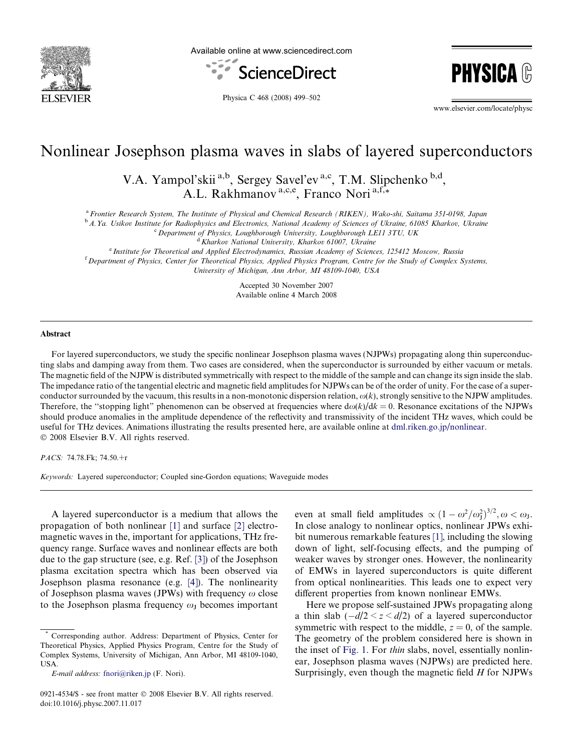

Available online at www.sciencedirect.com



**PHYSIC** 

Physica C 468 (2008) 499–502

www.elsevier.com/locate/physc

# Nonlinear Josephson plasma waves in slabs of layered superconductors

V.A. Yampol'skii<sup>a,b</sup>, Sergey Savel'ev<sup>a,c</sup>, T.M. Slipchenko<sup>b,d</sup>, A.L. Rakhmanov<sup>a,c,e</sup>, Franco Nori<sup>a,f,\*</sup>

a Frontier Research System, The Institute of Physical and Chemical Research (RIKEN), Wako-shi, Saitama 351-0198, Japan

<sup>b</sup> A.Ya. Usikov Institute for Radiophysics and Electronics, National Academy of Sciences of Ukraine, 61085 Kharkov, Ukraine

<sup>c</sup> Department of Physics, Loughborough University, Loughborough LE11 3TU, UK

<sup>d</sup> Kharkov National University, Kharkov 61007, Ukraine

<sup>e</sup> Institute for Theoretical and Applied Electrodynamics, Russian Academy of Sciences, 125412 Moscow, Russia <sup>f</sup> Department of Physics, Center for Theoretical Physics, Applied Physics Program, Centre for the Study of Complex Systems, University of Michigan, Ann Arbor, MI 48109-1040, USA

> Accepted 30 November 2007 Available online 4 March 2008

#### Abstract

For layered superconductors, we study the specific nonlinear Josephson plasma waves (NJPWs) propagating along thin superconducting slabs and damping away from them. Two cases are considered, when the superconductor is surrounded by either vacuum or metals. The magnetic field of the NJPW is distributed symmetrically with respect to the middle of the sample and can change its sign inside the slab. The impedance ratio of the tangential electric and magnetic field amplitudes for NJPWs can be of the order of unity. For the case of a superconductor surrounded by the vacuum, this results in a non-monotonic dispersion relation,  $\omega(k)$ , strongly sensitive to the NJPW amplitudes. Therefore, the "stopping light" phenomenon can be observed at frequencies where  $d\omega(k)/dk = 0$ . Resonance excitations of the NJPWs should produce anomalies in the amplitude dependence of the reflectivity and transmissivity of the incident THz waves, which could be useful for THz devices. Animations illustrating the results presented here, are available online at [dml.riken.go.jp/nonlinear.](http://dml.riken.go.jp/nonlinear) © 2008 Elsevier B.V. All rights reserved.

PACS: 74.78.Fk; 74.50.+r

Keywords: Layered superconductor; Coupled sine-Gordon equations; Waveguide modes

A layered superconductor is a medium that allows the propagation of both nonlinear [\[1\]](#page-3-0) and surface [\[2\]](#page-3-0) electromagnetic waves in the, important for applications, THz frequency range. Surface waves and nonlinear effects are both due to the gap structure (see, e.g. Ref. [\[3\]](#page-3-0)) of the Josephson plasma excitation spectra which has been observed via Josephson plasma resonance (e.g. [\[4\]\)](#page-3-0). The nonlinearity of Josephson plasma waves (JPWs) with frequency  $\omega$  close to the Josephson plasma frequency  $\omega_J$  becomes important

even at small field amplitudes  $\propto (1 - \omega^2/\omega_J^2)^{3/2}$ ,  $\omega < \omega_J$ . In close analogy to nonlinear optics, nonlinear JPWs exhibit numerous remarkable features [\[1\]](#page-3-0), including the slowing down of light, self-focusing effects, and the pumping of weaker waves by stronger ones. However, the nonlinearity of EMWs in layered superconductors is quite different from optical nonlinearities. This leads one to expect very different properties from known nonlinear EMWs.

Here we propose self-sustained JPWs propagating along a thin slab  $(-d/2 \le z \le d/2)$  of a layered superconductor symmetric with respect to the middle,  $z = 0$ , of the sample. The geometry of the problem considered here is shown in the inset of [Fig. 1.](#page-1-0) For thin slabs, novel, essentially nonlinear, Josephson plasma waves (NJPWs) are predicted here. Surprisingly, even though the magnetic field H for NJPWs

<sup>\*</sup> Corresponding author. Address: Department of Physics, Center for Theoretical Physics, Applied Physics Program, Centre for the Study of Complex Systems, University of Michigan, Ann Arbor, MI 48109-1040, USA.

E-mail address: [fnori@riken.jp](mailto:fnori@riken.jp) (F. Nori).

<sup>0921-4534/\$ -</sup> see front matter © 2008 Elsevier B.V. All rights reserved. doi:10.1016/j.physc.2007.11.017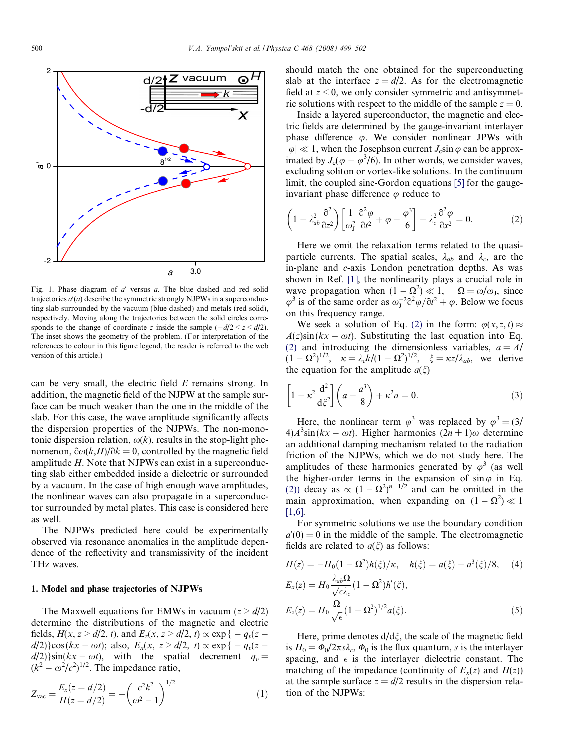<span id="page-1-0"></span>

Fig. 1. Phase diagram of  $a'$  versus a. The blue dashed and red solid trajectories  $a'(a)$  describe the symmetric strongly NJPWs in a superconducting slab surrounded by the vacuum (blue dashed) and metals (red solid), respectively. Moving along the trajectories between the solid circles corresponds to the change of coordinate z inside the sample  $(-d/2 \lt z \lt d/2)$ . The inset shows the geometry of the problem. (For interpretation of the references to colour in this figure legend, the reader is referred to the web version of this article.)

can be very small, the electric field  $E$  remains strong. In addition, the magnetic field of the NJPW at the sample surface can be much weaker than the one in the middle of the slab. For this case, the wave amplitude significantly affects the dispersion properties of the NJPWs. The non-monotonic dispersion relation,  $\omega(k)$ , results in the stop-light phenomenon,  $\partial \omega(k,H)/\partial k = 0$ , controlled by the magnetic field amplitude H. Note that NJPWs can exist in a superconducting slab either embedded inside a dielectric or surrounded by a vacuum. In the case of high enough wave amplitudes, the nonlinear waves can also propagate in a superconductor surrounded by metal plates. This case is considered here as well.

The NJPWs predicted here could be experimentally observed via resonance anomalies in the amplitude dependence of the reflectivity and transmissivity of the incident THz waves.

### 1. Model and phase trajectories of NJPWs

The Maxwell equations for EMWs in vacuum  $(z > d/2)$ determine the distributions of the magnetic and electric fields,  $H(x, z > d/2, t)$ , and  $E_z(x, z > d/2, t) \propto \exp \{-q_v(z - t)\}$  $d/2$ }cos( $kx - \omega t$ ); also,  $E_x(x, z > d/2, t) \propto \exp(-q_v(z$  $d/2$ )}sin( $kx - \omega t$ ), with the spatial decrement  $q_v =$  $(k^2 - \omega^2/c^2)^{1/2}$ . The impedance ratio,

$$
Z_{\text{vac}} = \frac{E_x(z = d/2)}{H(z = d/2)} = -\left(\frac{c^2 k^2}{\omega^2 - 1}\right)^{1/2} \tag{1}
$$

should match the one obtained for the superconducting slab at the interface  $z = d/2$ . As for the electromagnetic field at  $z \leq 0$ , we only consider symmetric and antisymmetric solutions with respect to the middle of the sample  $z = 0$ .

Inside a layered superconductor, the magnetic and electric fields are determined by the gauge-invariant interlayer phase difference  $\varphi$ . We consider nonlinear JPWs with  $|\varphi| \ll 1$ , when the Josephson current  $J_c \sin \varphi$  can be approximated by  $J_c(\varphi - \varphi^3/6)$ . In other words, we consider waves, excluding soliton or vortex-like solutions. In the continuum limit, the coupled sine-Gordon equations [\[5\]](#page-3-0) for the gaugeinvariant phase difference  $\varphi$  reduce to

$$
\left(1 - \lambda_{ab}^2 \frac{\partial^2}{\partial z^2}\right) \left[\frac{1}{\omega_1^2} \frac{\partial^2 \varphi}{\partial t^2} + \varphi - \frac{\varphi^3}{6}\right] - \lambda_c^2 \frac{\partial^2 \varphi}{\partial x^2} = 0.
$$
 (2)

Here we omit the relaxation terms related to the quasiparticle currents. The spatial scales,  $\lambda_{ab}$  and  $\lambda_c$ , are the in-plane and c-axis London penetration depths. As was shown in Ref. [\[1\],](#page-3-0) the nonlinearity plays a crucial role in wave propagation when  $(1 - \Omega^2) \ll 1$ ,  $\Omega = \omega/\omega_J$ , since  $\varphi^3$  is of the same order as  $\omega_j^{-2} \partial^2 \varphi / \partial t^2 + \varphi$ . Below we focus on this frequency range.

We seek a solution of Eq. (2) in the form:  $\varphi(x, z, t) \approx$  $A(z)$ sin( $kx - \omega t$ ). Substituting the last equation into Eq. (2) and introducing the dimensionless variables,  $a = A/$  $(1 - \Omega^2)^{1/2}$ ,  $\kappa = \lambda_c k/(1 - \Omega^2)^{1/2}$ ,  $\xi = \kappa z/\lambda_{ab}$ , we derive the equation for the amplitude  $a(\xi)$ 

$$
\[1 - \kappa^2 \frac{d^2}{d\xi^2}\] \left(a - \frac{a^3}{8}\right) + \kappa^2 a = 0. \tag{3}
$$

Here, the nonlinear term  $\varphi^3$  was replaced by  $\varphi^3 = (3/2)$  $4) A^{3} \sin(kx - \omega t)$ . Higher harmonics  $(2n + 1)\omega$  determine an additional damping mechanism related to the radiation friction of the NJPWs, which we do not study here. The amplitudes of these harmonics generated by  $\varphi^3$  (as well the higher-order terms in the expansion of  $\sin \varphi$  in Eq. (2)) decay as  $\propto (1 - \Omega^2)^{n+1/2}$  and can be omitted in the main approximation, when expanding on  $(1 - \Omega^2) \ll 1$ [\[1,6\].](#page-3-0)

For symmetric solutions we use the boundary condition  $a'(0) = 0$  in the middle of the sample. The electromagnetic fields are related to  $a(\xi)$  as follows:

$$
H(z) = -H_0(1 - \Omega^2)h(\xi)/\kappa, \quad h(\xi) = a(\xi) - a^3(\xi)/8, \quad (4)
$$
  
\n
$$
E_x(z) = H_0 \frac{\lambda_{ab}\Omega}{\sqrt{\epsilon}\lambda_c} (1 - \Omega^2)h'(\xi),
$$
  
\n
$$
E_z(z) = H_0 \frac{\Omega}{\sqrt{\epsilon}} (1 - \Omega^2)^{1/2} a(\xi).
$$
 (5)

Here, prime denotes  $d/d\xi$ , the scale of the magnetic field is  $H_0 = \Phi_0/2\pi s \lambda_c$ ,  $\Phi_0$  is the flux quantum, s is the interlayer spacing, and  $\epsilon$  is the interlayer dielectric constant. The matching of the impedance (continuity of  $E_x(z)$  and  $H(z)$ ) at the sample surface  $z = d/2$  results in the dispersion relation of the NJPWs: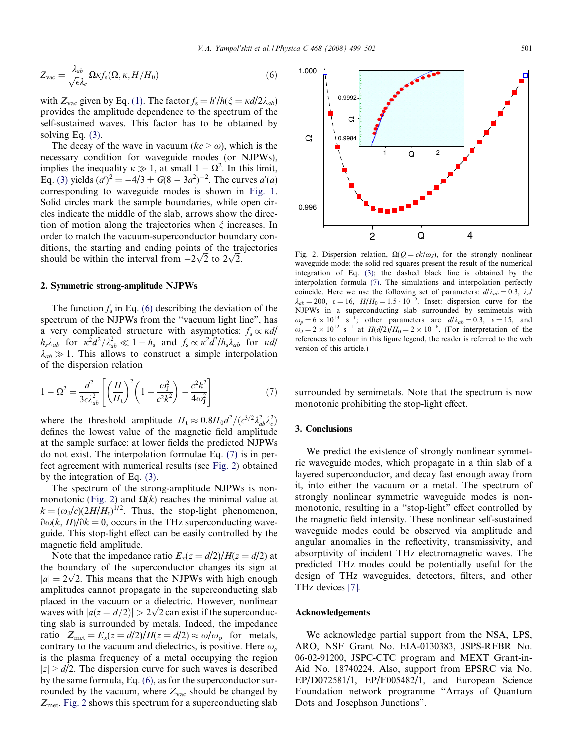$$
Z_{\rm vac} = \frac{\lambda_{ab}}{\sqrt{\epsilon}\lambda_c} \Omega \kappa f_s(\Omega, \kappa, H/H_0)
$$
\n(6)

with  $Z_{\text{vac}}$  given by Eq. [\(1\).](#page-1-0) The factor  $f_s = h'/h(\xi = \kappa d/2\lambda_{ab})$ provides the amplitude dependence to the spectrum of the self-sustained waves. This factor has to be obtained by solving Eq. [\(3\).](#page-1-0)

The decay of the wave in vacuum  $(kc > \omega)$ , which is the necessary condition for waveguide modes (or NJPWs), implies the inequality  $\kappa \gg 1$ , at small  $1 - \Omega^2$ . In this limit, Eq. [\(3\)](#page-1-0) yields  $(a')^2 = -4/3 + G(8 - 3a^2)^{-2}$ . The curves  $a'(a)$ corresponding to waveguide modes is shown in [Fig. 1.](#page-1-0) Solid circles mark the sample boundaries, while open circles indicate the middle of the slab, arrows show the direction of motion along the trajectories when  $\xi$  increases. In order to match the vacuum-superconductor boundary conditions, the starting and ending points of the trajectories Should be within the interval from  $-2\sqrt{2}$  to  $2\sqrt{2}$ .

### 2. Symmetric strong-amplitude NJPWs

The function  $f_s$  in Eq. [\(6\)](#page-1-0) describing the deviation of the spectrum of the NJPWs from the "vacuum light line", has a very complicated structure with asymptotics:  $f_s \propto \kappa d/$  $h_s \lambda_{ab}$  for  $\kappa^2 d^2 / \lambda_{ab}^2 \ll 1 - h_s$  and  $f_s \propto \kappa^2 \hat{d}^2 / h_s \lambda_{ab}$  for  $\kappa d/2$  $\lambda_{ab} \gg 1$ . This allows to construct a simple interpolation of the dispersion relation

$$
1 - \Omega^2 = \frac{d^2}{3\epsilon \lambda_{ab}^2} \left[ \left( \frac{H}{H_t} \right)^2 \left( 1 - \frac{\omega_j^2}{c^2 k^2} \right) - \frac{c^2 k^2}{4\omega_j^2} \right]
$$
(7)

where the threshold amplitude  $H_t \approx 0.8H_0 d^2/(\epsilon^{3/2} \lambda_{ab}^2 \lambda_c^2)$ defines the lowest value of the magnetic field amplitude at the sample surface: at lower fields the predicted NJPWs do not exist. The interpolation formulae Eq. (7) is in perfect agreement with numerical results (see Fig. 2) obtained by the integration of Eq. [\(3\).](#page-1-0)

The spectrum of the strong-amplitude NJPWs is nonmonotonic (Fig. 2) and  $\Omega(k)$  reaches the minimal value at  $k = (\omega_J/c)(2H/H_t)^{1/2}$ . Thus, the stop-light phenomenon,  $\partial \omega(k, H)/\partial k = 0$ , occurs in the THz superconducting waveguide. This stop-light effect can be easily controlled by the magnetic field amplitude.

Note that the impedance ratio  $E_x(z = d/2)/H(z = d/2)$  at the boundary of the superconductor changes its sign at the boundary of the superconductor changes its sign at  $|a| = 2\sqrt{2}$ . This means that the NJPWs with high enough amplitudes cannot propagate in the superconducting slab placed in the vacuum or a dielectric. However, nonlinear placed in the vacuum or a dielectric. However, nonlinear<br>waves with  $|a(z = d/2)| > 2\sqrt{2}$  can exist if the superconducting slab is surrounded by metals. Indeed, the impedance ratio  $Z_{\text{met}} = E_x(z = d/2)/H(z = d/2) \approx \omega/\omega_p$  for metals, contrary to the vacuum and dielectrics, is positive. Here  $\omega_p$ is the plasma frequency of a metal occupying the region  $|z| > d/2$ . The dispersion curve for such waves is described by the same formula, Eq. [\(6\)](#page-1-0), as for the superconductor surrounded by the vacuum, where  $Z_{\text{vac}}$  should be changed by  $Z_{\text{met}}$ . Fig. 2 shows this spectrum for a superconducting slab



Fig. 2. Dispersion relation,  $\Omega(Q = ck/\omega_J)$ , for the strongly nonlinear waveguide mode: the solid red squares present the result of the numerical integration of Eq. [\(3\);](#page-1-0) the dashed black line is obtained by the interpolation formula (7). The simulations and interpolation perfectly coincide. Here we use the following set of parameters:  $d/\lambda_{ab} = 0.3$ ,  $\lambda_{c}/$  $\lambda_{ab} = 200$ ,  $\varepsilon = 16$ ,  $H/H_0 = 1.5 \cdot 10^{-5}$ . Inset: dispersion curve for the NJPWs in a superconducting slab surrounded by semimetals with  $\omega_p = 6 \times 10^{13} \text{ s}^{-1}$ , other parameters are  $d/\lambda_{ab} = 0.3$ ,  $\varepsilon = 15$ , and  $\omega_J = 2 \times 10^{12} \text{ s}^{-1}$  at  $H(d/2)/H_0 = 2 \times 10^{-6}$ . (For interpretation of the references to colour in this figure legend, the reader is referred to the web version of this article.)

surrounded by semimetals. Note that the spectrum is now monotonic prohibiting the stop-light effect.

## 3. Conclusions

We predict the existence of strongly nonlinear symmetric waveguide modes, which propagate in a thin slab of a layered superconductor, and decay fast enough away from it, into either the vacuum or a metal. The spectrum of strongly nonlinear symmetric waveguide modes is nonmonotonic, resulting in a "stop-light" effect controlled by the magnetic field intensity. These nonlinear self-sustained waveguide modes could be observed via amplitude and angular anomalies in the reflectivity, transmissivity, and absorptivity of incident THz electromagnetic waves. The predicted THz modes could be potentially useful for the design of THz waveguides, detectors, filters, and other THz devices [\[7\].](#page-3-0)

#### Acknowledgements

We acknowledge partial support from the NSA, LPS, ARO, NSF Grant No. EIA-0130383, JSPS-RFBR No. 06-02-91200, JSPC-CTC program and MEXT Grant-in-Aid No. 18740224. Also, support from EPSRC via No. EP/D072581/1, EP/F005482/1, and European Science Foundation network programme ''Arrays of Quantum Dots and Josephson Junctions".